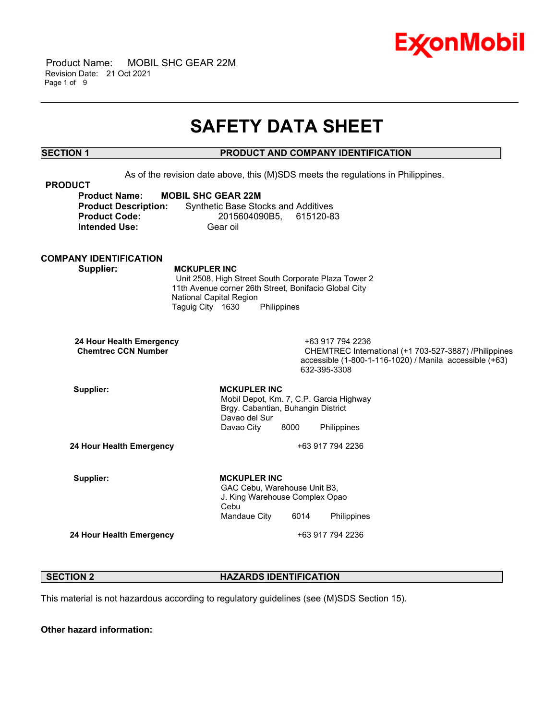

 Product Name: MOBIL SHC GEAR 22M Revision Date: 21 Oct 2021 Page 1 of 9

## **SAFETY DATA SHEET**

\_\_\_\_\_\_\_\_\_\_\_\_\_\_\_\_\_\_\_\_\_\_\_\_\_\_\_\_\_\_\_\_\_\_\_\_\_\_\_\_\_\_\_\_\_\_\_\_\_\_\_\_\_\_\_\_\_\_\_\_\_\_\_\_\_\_\_\_\_\_\_\_\_\_\_\_\_\_\_\_\_\_\_\_\_\_\_\_\_\_\_\_\_\_\_\_\_\_\_\_\_\_\_\_\_\_\_\_\_\_\_\_\_\_\_\_\_\_

### **SECTION 1 PRODUCT AND COMPANY IDENTIFICATION**

As of the revision date above, this (M)SDS meets the regulations in Philippines. **PRODUCT Product Name: MOBIL SHC GEAR 22M Product Description:** Synthetic Base Stocks and Additives **Product Code:** 2015604090B5, 615120-83 **Intended Use:** Gear oil **COMPANY IDENTIFICATION Supplier: MCKUPLER INC** Unit 2508, High Street South Corporate Plaza Tower 2 11th Avenue corner 26th Street, Bonifacio Global City National Capital Region Taguig City 1630 Philippines **24 Hour Health Emergency** +63 917 794 2236 **CHEMTREC International (+1 703-527-3887) /Philippines** accessible (1-800-1-116-1020) / Manila accessible (+63) 632-395-3308 Supplier: **MCKUPLER** INC Mobil Depot, Km. 7, C.P. Garcia Highway Brgy. Cabantian, Buhangin District Davao del Sur Davao City 8000 Philippines **24 Hour Health Emergency** +63 917 794 2236 Supplier: **MCKUPLER** INC GAC Cebu, Warehouse Unit B3, J. King Warehouse Complex Opao Cebu Mandaue City 6014 Philippines **24 Hour Health Emergency** +63 917 794 2236

#### **SECTION 2 HAZARDS IDENTIFICATION**

This material is not hazardous according to regulatory guidelines (see (M)SDS Section 15).

**Other hazard information:**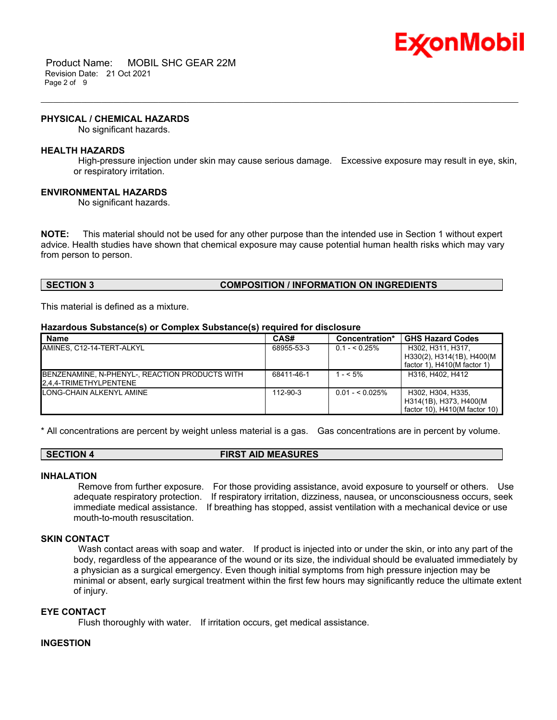

 Product Name: MOBIL SHC GEAR 22M Revision Date: 21 Oct 2021 Page 2 of 9

#### **PHYSICAL / CHEMICAL HAZARDS**

No significant hazards.

#### **HEALTH HAZARDS**

High-pressure injection under skin may cause serious damage. Excessive exposure may result in eye, skin, or respiratory irritation.

\_\_\_\_\_\_\_\_\_\_\_\_\_\_\_\_\_\_\_\_\_\_\_\_\_\_\_\_\_\_\_\_\_\_\_\_\_\_\_\_\_\_\_\_\_\_\_\_\_\_\_\_\_\_\_\_\_\_\_\_\_\_\_\_\_\_\_\_\_\_\_\_\_\_\_\_\_\_\_\_\_\_\_\_\_\_\_\_\_\_\_\_\_\_\_\_\_\_\_\_\_\_\_\_\_\_\_\_\_\_\_\_\_\_\_\_\_\_

#### **ENVIRONMENTAL HAZARDS**

No significant hazards.

**NOTE:** This material should not be used for any other purpose than the intended use in Section 1 without expert advice. Health studies have shown that chemical exposure may cause potential human health risks which may vary from person to person.

#### **SECTION 3 COMPOSITION / INFORMATION ON INGREDIENTS**

This material is defined as a mixture.

#### **Hazardous Substance(s) or Complex Substance(s) required for disclosure**

| <b>Name</b>                                                              | CAS#       | Concentration*   | <b>GHS Hazard Codes</b>                                                         |
|--------------------------------------------------------------------------|------------|------------------|---------------------------------------------------------------------------------|
| IAMINES. C12-14-TERT-ALKYL                                               | 68955-53-3 | $0.1 - 5.25\%$   | H302, H311, H317,<br>H330(2), H314(1B), H400(M<br>factor 1), $H410(M$ factor 1) |
| BENZENAMINE, N-PHENYL-, REACTION PRODUCTS WITH<br>2.4.4-TRIMETHYLPENTENE | 68411-46-1 | $1 - 5\%$        | H316, H402, H412                                                                |
| <b>ILONG-CHAIN ALKENYL AMINE</b>                                         | 112-90-3   | $0.01 - 5.025\%$ | H302, H304, H335.<br>H314(1B), H373, H400(M<br>factor 10), $H410(M$ factor 10)  |

\* All concentrations are percent by weight unless material is a gas. Gas concentrations are in percent by volume.

#### **SECTION 4 FIRST AID MEASURES**

#### **INHALATION**

Remove from further exposure. For those providing assistance, avoid exposure to yourself or others. Use adequate respiratory protection. If respiratory irritation, dizziness, nausea, or unconsciousness occurs, seek immediate medical assistance. If breathing has stopped, assist ventilation with a mechanical device or use mouth-to-mouth resuscitation.

#### **SKIN CONTACT**

Wash contact areas with soap and water. If product is injected into or under the skin, or into any part of the body, regardless of the appearance of the wound or its size, the individual should be evaluated immediately by a physician as a surgical emergency. Even though initial symptoms from high pressure injection may be minimal or absent, early surgical treatment within the first few hours may significantly reduce the ultimate extent of injury.

#### **EYE CONTACT**

Flush thoroughly with water. If irritation occurs, get medical assistance.

#### **INGESTION**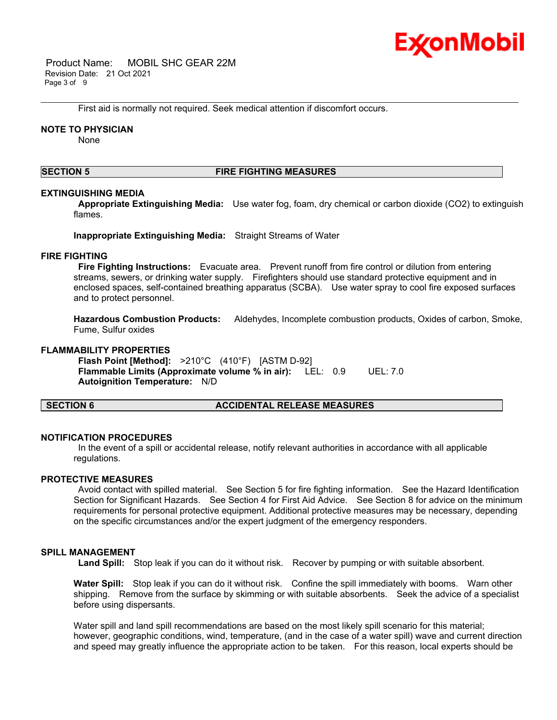

 Product Name: MOBIL SHC GEAR 22M Revision Date: 21 Oct 2021 Page 3 of 9

First aid is normally not required. Seek medical attention if discomfort occurs.

#### **NOTE TO PHYSICIAN**

None

#### **SECTION 5 FIRE FIGHTING MEASURES**

\_\_\_\_\_\_\_\_\_\_\_\_\_\_\_\_\_\_\_\_\_\_\_\_\_\_\_\_\_\_\_\_\_\_\_\_\_\_\_\_\_\_\_\_\_\_\_\_\_\_\_\_\_\_\_\_\_\_\_\_\_\_\_\_\_\_\_\_\_\_\_\_\_\_\_\_\_\_\_\_\_\_\_\_\_\_\_\_\_\_\_\_\_\_\_\_\_\_\_\_\_\_\_\_\_\_\_\_\_\_\_\_\_\_\_\_\_\_

#### **EXTINGUISHING MEDIA**

**Appropriate Extinguishing Media:** Use water fog, foam, dry chemical or carbon dioxide (CO2) to extinguish flames.

**Inappropriate Extinguishing Media:** Straight Streams of Water

#### **FIRE FIGHTING**

**Fire Fighting Instructions:** Evacuate area. Prevent runoff from fire control or dilution from entering streams, sewers, or drinking water supply. Firefighters should use standard protective equipment and in enclosed spaces, self-contained breathing apparatus (SCBA). Use water spray to cool fire exposed surfaces and to protect personnel.

**Hazardous Combustion Products:** Aldehydes, Incomplete combustion products, Oxides of carbon, Smoke, Fume, Sulfur oxides

#### **FLAMMABILITY PROPERTIES**

**Flash Point [Method]:** >210°C (410°F) [ASTM D-92] **Flammable Limits (Approximate volume % in air):** LEL: 0.9 UEL: 7.0 **Autoignition Temperature:** N/D

#### **SECTION 6 ACCIDENTAL RELEASE MEASURES**

#### **NOTIFICATION PROCEDURES**

In the event of a spill or accidental release, notify relevant authorities in accordance with all applicable regulations.

#### **PROTECTIVE MEASURES**

Avoid contact with spilled material. See Section 5 for fire fighting information. See the Hazard Identification Section for Significant Hazards. See Section 4 for First Aid Advice. See Section 8 for advice on the minimum requirements for personal protective equipment. Additional protective measures may be necessary, depending on the specific circumstances and/or the expert judgment of the emergency responders.

#### **SPILL MANAGEMENT**

**Land Spill:** Stop leak if you can do it without risk. Recover by pumping or with suitable absorbent.

**Water Spill:** Stop leak if you can do it without risk. Confine the spill immediately with booms. Warn other shipping. Remove from the surface by skimming or with suitable absorbents. Seek the advice of a specialist before using dispersants.

Water spill and land spill recommendations are based on the most likely spill scenario for this material; however, geographic conditions, wind, temperature, (and in the case of a water spill) wave and current direction and speed may greatly influence the appropriate action to be taken. For this reason, local experts should be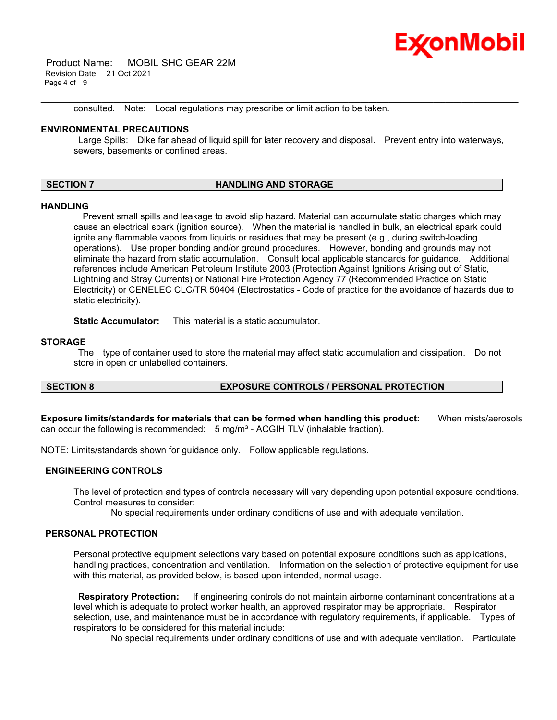

 Product Name: MOBIL SHC GEAR 22M Revision Date: 21 Oct 2021 Page 4 of 9

consulted. Note: Local regulations may prescribe or limit action to be taken.

#### **ENVIRONMENTAL PRECAUTIONS**

Large Spills: Dike far ahead of liquid spill for later recovery and disposal. Prevent entry into waterways, sewers, basements or confined areas.

\_\_\_\_\_\_\_\_\_\_\_\_\_\_\_\_\_\_\_\_\_\_\_\_\_\_\_\_\_\_\_\_\_\_\_\_\_\_\_\_\_\_\_\_\_\_\_\_\_\_\_\_\_\_\_\_\_\_\_\_\_\_\_\_\_\_\_\_\_\_\_\_\_\_\_\_\_\_\_\_\_\_\_\_\_\_\_\_\_\_\_\_\_\_\_\_\_\_\_\_\_\_\_\_\_\_\_\_\_\_\_\_\_\_\_\_\_\_

#### **SECTION 7 HANDLING AND STORAGE**

#### **HANDLING**

 Prevent small spills and leakage to avoid slip hazard. Material can accumulate static charges which may cause an electrical spark (ignition source). When the material is handled in bulk, an electrical spark could ignite any flammable vapors from liquids or residues that may be present (e.g., during switch-loading operations). Use proper bonding and/or ground procedures. However, bonding and grounds may not eliminate the hazard from static accumulation. Consult local applicable standards for guidance. Additional references include American Petroleum Institute 2003 (Protection Against Ignitions Arising out of Static, Lightning and Stray Currents) or National Fire Protection Agency 77 (Recommended Practice on Static Electricity) or CENELEC CLC/TR 50404 (Electrostatics - Code of practice for the avoidance of hazards due to static electricity).

**Static Accumulator:** This material is a static accumulator.

#### **STORAGE**

The type of container used to store the material may affect static accumulation and dissipation. Do not store in open or unlabelled containers.

#### **SECTION 8 EXPOSURE CONTROLS / PERSONAL PROTECTION**

**Exposure limits/standards for materials that can be formed when handling this product:** When mists/aerosols can occur the following is recommended:  $5 \text{ mg/m}^3$  - ACGIH TLV (inhalable fraction).

NOTE: Limits/standards shown for guidance only. Follow applicable regulations.

#### **ENGINEERING CONTROLS**

The level of protection and types of controls necessary will vary depending upon potential exposure conditions. Control measures to consider:

No special requirements under ordinary conditions of use and with adequate ventilation.

#### **PERSONAL PROTECTION**

Personal protective equipment selections vary based on potential exposure conditions such as applications, handling practices, concentration and ventilation. Information on the selection of protective equipment for use with this material, as provided below, is based upon intended, normal usage.

**Respiratory Protection:** If engineering controls do not maintain airborne contaminant concentrations at a level which is adequate to protect worker health, an approved respirator may be appropriate. Respirator selection, use, and maintenance must be in accordance with regulatory requirements, if applicable. Types of respirators to be considered for this material include:

No special requirements under ordinary conditions of use and with adequate ventilation. Particulate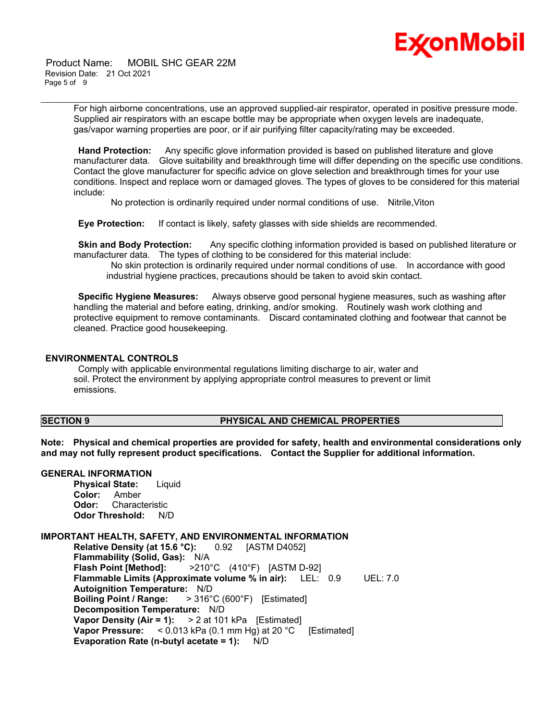

 Product Name: MOBIL SHC GEAR 22M Revision Date: 21 Oct 2021 Page 5 of 9

> For high airborne concentrations, use an approved supplied-air respirator, operated in positive pressure mode. Supplied air respirators with an escape bottle may be appropriate when oxygen levels are inadequate, gas/vapor warning properties are poor, or if air purifying filter capacity/rating may be exceeded.

\_\_\_\_\_\_\_\_\_\_\_\_\_\_\_\_\_\_\_\_\_\_\_\_\_\_\_\_\_\_\_\_\_\_\_\_\_\_\_\_\_\_\_\_\_\_\_\_\_\_\_\_\_\_\_\_\_\_\_\_\_\_\_\_\_\_\_\_\_\_\_\_\_\_\_\_\_\_\_\_\_\_\_\_\_\_\_\_\_\_\_\_\_\_\_\_\_\_\_\_\_\_\_\_\_\_\_\_\_\_\_\_\_\_\_\_\_\_

**Hand Protection:** Any specific glove information provided is based on published literature and glove manufacturer data. Glove suitability and breakthrough time will differ depending on the specific use conditions. Contact the glove manufacturer for specific advice on glove selection and breakthrough times for your use conditions. Inspect and replace worn or damaged gloves. The types of gloves to be considered for this material include:

No protection is ordinarily required under normal conditions of use. Nitrile,Viton

**Eye Protection:** If contact is likely, safety glasses with side shields are recommended.

**Skin and Body Protection:** Any specific clothing information provided is based on published literature or manufacturer data. The types of clothing to be considered for this material include:

No skin protection is ordinarily required under normal conditions of use. In accordance with good industrial hygiene practices, precautions should be taken to avoid skin contact.

**Specific Hygiene Measures:** Always observe good personal hygiene measures, such as washing after handling the material and before eating, drinking, and/or smoking. Routinely wash work clothing and protective equipment to remove contaminants. Discard contaminated clothing and footwear that cannot be cleaned. Practice good housekeeping.

#### **ENVIRONMENTAL CONTROLS**

Comply with applicable environmental regulations limiting discharge to air, water and soil. Protect the environment by applying appropriate control measures to prevent or limit emissions.

#### **SECTION 9 PHYSICAL AND CHEMICAL PROPERTIES**

**Note: Physical and chemical properties are provided for safety, health and environmental considerations only and may not fully represent product specifications. Contact the Supplier for additional information.**

#### **GENERAL INFORMATION**

**Physical State:** Liquid **Color:** Amber **Odor:** Characteristic **Odor Threshold:** N/D

#### **IMPORTANT HEALTH, SAFETY, AND ENVIRONMENTAL INFORMATION**

**Relative Density (at 15.6 °C):** 0.92 [ASTM D4052] **Flammability (Solid, Gas):** N/A **Flash Point [Method]:** >210°C (410°F) [ASTM D-92] **Flammable Limits (Approximate volume % in air):** LEL: 0.9 UEL: 7.0 **Autoignition Temperature:** N/D **Boiling Point / Range:** > 316°C (600°F) [Estimated] **Decomposition Temperature:** N/D **Vapor Density (Air = 1):** > 2 at 101 kPa [Estimated] **Vapor Pressure:** < 0.013 kPa (0.1 mm Hg) at 20 °C [Estimated] **Evaporation Rate (n-butyl acetate = 1):** N/D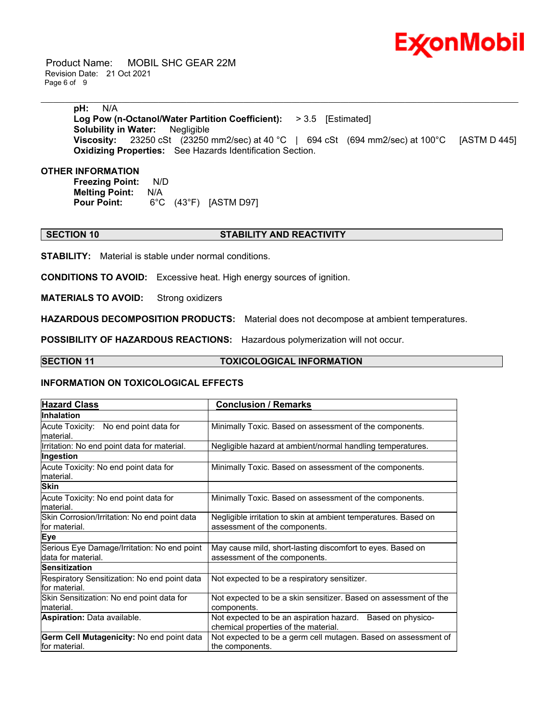

 Product Name: MOBIL SHC GEAR 22M Revision Date: 21 Oct 2021 Page 6 of 9

> **pH:** N/A **Log Pow (n-Octanol/Water Partition Coefficient):** > 3.5 [Estimated] **Solubility in Water:** Negligible **Viscosity:** 23250 cSt (23250 mm2/sec) at 40 °C | 694 cSt (694 mm2/sec) at 100°C [ASTM D 445] **Oxidizing Properties:** See Hazards Identification Section.

\_\_\_\_\_\_\_\_\_\_\_\_\_\_\_\_\_\_\_\_\_\_\_\_\_\_\_\_\_\_\_\_\_\_\_\_\_\_\_\_\_\_\_\_\_\_\_\_\_\_\_\_\_\_\_\_\_\_\_\_\_\_\_\_\_\_\_\_\_\_\_\_\_\_\_\_\_\_\_\_\_\_\_\_\_\_\_\_\_\_\_\_\_\_\_\_\_\_\_\_\_\_\_\_\_\_\_\_\_\_\_\_\_\_\_\_\_\_

#### **OTHER INFORMATION**

**Freezing Point:** N/D **Melting Point: N/A<br>Pour Point: 6°C Pour Point:** 6°C (43°F) [ASTM D97]

### **SECTION 10 STABILITY AND REACTIVITY**

**STABILITY:** Material is stable under normal conditions.

**CONDITIONS TO AVOID:** Excessive heat. High energy sources of ignition.

**MATERIALS TO AVOID:** Strong oxidizers

**HAZARDOUS DECOMPOSITION PRODUCTS:** Material does not decompose at ambient temperatures.

**POSSIBILITY OF HAZARDOUS REACTIONS:** Hazardous polymerization will not occur.

#### **SECTION 11 TOXICOLOGICAL INFORMATION**

#### **INFORMATION ON TOXICOLOGICAL EFFECTS**

| <b>Hazard Class</b>                                               | <b>Conclusion / Remarks</b>                                                                        |  |
|-------------------------------------------------------------------|----------------------------------------------------------------------------------------------------|--|
| <b>Inhalation</b>                                                 |                                                                                                    |  |
| Acute Toxicity: No end point data for<br>material.                | Minimally Toxic. Based on assessment of the components.                                            |  |
| Irritation: No end point data for material.                       | Negligible hazard at ambient/normal handling temperatures.                                         |  |
| Ingestion                                                         |                                                                                                    |  |
| Acute Toxicity: No end point data for<br>material.                | Minimally Toxic. Based on assessment of the components.                                            |  |
| <b>Skin</b>                                                       |                                                                                                    |  |
| Acute Toxicity: No end point data for<br>lmaterial.               | Minimally Toxic. Based on assessment of the components.                                            |  |
| Skin Corrosion/Irritation: No end point data<br>lfor material.    | Negligible irritation to skin at ambient temperatures. Based on<br>assessment of the components.   |  |
| <b>Eye</b>                                                        |                                                                                                    |  |
| Serious Eye Damage/Irritation: No end point<br>data for material. | May cause mild, short-lasting discomfort to eyes. Based on<br>assessment of the components.        |  |
| <b>Sensitization</b>                                              |                                                                                                    |  |
| Respiratory Sensitization: No end point data<br>for material.     | Not expected to be a respiratory sensitizer.                                                       |  |
| Skin Sensitization: No end point data for<br>material.            | Not expected to be a skin sensitizer. Based on assessment of the<br>components.                    |  |
| <b>Aspiration: Data available.</b>                                | Not expected to be an aspiration hazard. Based on physico-<br>chemical properties of the material. |  |
| Germ Cell Mutagenicity: No end point data<br>lfor material.       | Not expected to be a germ cell mutagen. Based on assessment of<br>the components.                  |  |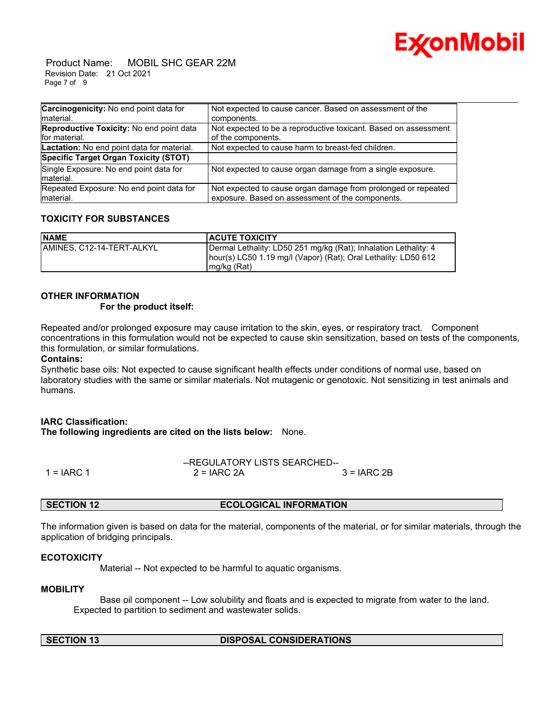

 Product Name: MOBIL SHC GEAR 22M Revision Date: 21 Oct 2021 Page 7 of 9

| Carcinogenicity: No end point data for<br>Imaterial.      | Not expected to cause cancer. Based on assessment of the<br>components.                                           |
|-----------------------------------------------------------|-------------------------------------------------------------------------------------------------------------------|
|                                                           |                                                                                                                   |
| Reproductive Toxicity: No end point data<br>for material. | Not expected to be a reproductive toxicant. Based on assessment<br>of the components.                             |
| Lactation: No end point data for material.                | Not expected to cause harm to breast-fed children.                                                                |
| Specific Target Organ Toxicity (STOT)                     |                                                                                                                   |
| Single Exposure: No end point data for<br>Imaterial.      | Not expected to cause organ damage from a single exposure.                                                        |
| Repeated Exposure: No end point data for<br>material.     | Not expected to cause organ damage from prolonged or repeated<br>exposure. Based on assessment of the components. |

### **TOXICITY FOR SUBSTANCES**

| <b>NAME</b>                | <b>ACUTE TOXICITY</b>                                                                                                                              |
|----------------------------|----------------------------------------------------------------------------------------------------------------------------------------------------|
| IAMINES. C12-14-TERT-ALKYL | Dermal Lethality: LD50 251 mg/kg (Rat); Inhalation Lethality: 4<br>hour(s) LC50 1.19 mg/l (Vapor) (Rat); Oral Lethality: LD50 612<br>$mg/kg$ (Rat) |

### **OTHER INFORMATION**

#### **For the product itself:**

Repeated and/or prolonged exposure may cause irritation to the skin, eyes, or respiratory tract. Component concentrations in this formulation would not be expected to cause skin sensitization, based on tests of the components, this formulation, or similar formulations.

#### **Contains:**

Synthetic base oils: Not expected to cause significant health effects under conditions of normal use, based on laboratory studies with the same or similar materials. Not mutagenic or genotoxic. Not sensitizing in test animals and humans.

#### **IARC Classification:**

**The following ingredients are cited on the lists below:** None.

|              | --REGULATORY LISTS SEARCHED-- |              |  |
|--------------|-------------------------------|--------------|--|
| $1 = IARC 1$ | $2 = IARC 2A$                 | $3 = IARC2B$ |  |

#### **SECTION 12 ECOLOGICAL INFORMATION**

The information given is based on data for the material, components of the material, or for similar materials, through the application of bridging principals.

#### **ECOTOXICITY**

Material -- Not expected to be harmful to aquatic organisms.

#### **MOBILITY**

 Base oil component -- Low solubility and floats and is expected to migrate from water to the land. Expected to partition to sediment and wastewater solids.

#### **SECTION 13 DISPOSAL CONSIDERATIONS**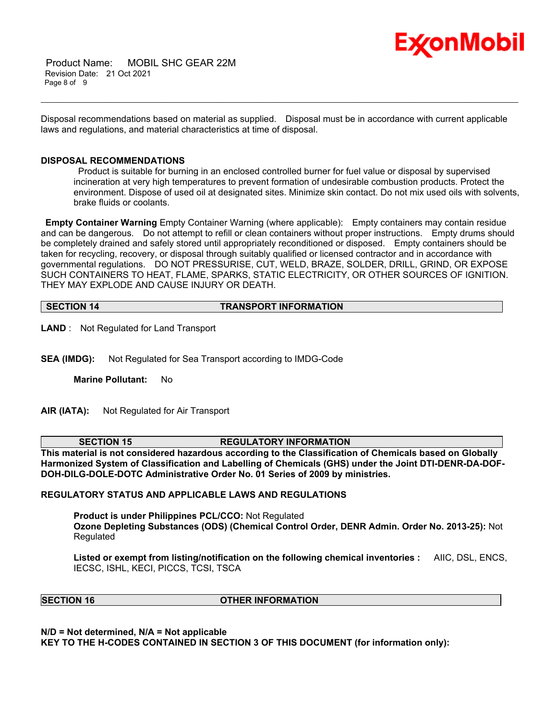

 Product Name: MOBIL SHC GEAR 22M Revision Date: 21 Oct 2021 Page 8 of 9

Disposal recommendations based on material as supplied. Disposal must be in accordance with current applicable laws and regulations, and material characteristics at time of disposal.

\_\_\_\_\_\_\_\_\_\_\_\_\_\_\_\_\_\_\_\_\_\_\_\_\_\_\_\_\_\_\_\_\_\_\_\_\_\_\_\_\_\_\_\_\_\_\_\_\_\_\_\_\_\_\_\_\_\_\_\_\_\_\_\_\_\_\_\_\_\_\_\_\_\_\_\_\_\_\_\_\_\_\_\_\_\_\_\_\_\_\_\_\_\_\_\_\_\_\_\_\_\_\_\_\_\_\_\_\_\_\_\_\_\_\_\_\_\_

#### **DISPOSAL RECOMMENDATIONS**

Product is suitable for burning in an enclosed controlled burner for fuel value or disposal by supervised incineration at very high temperatures to prevent formation of undesirable combustion products. Protect the environment. Dispose of used oil at designated sites. Minimize skin contact. Do not mix used oils with solvents, brake fluids or coolants.

**Empty Container Warning** Empty Container Warning (where applicable): Empty containers may contain residue and can be dangerous. Do not attempt to refill or clean containers without proper instructions. Empty drums should be completely drained and safely stored until appropriately reconditioned or disposed. Empty containers should be taken for recycling, recovery, or disposal through suitably qualified or licensed contractor and in accordance with governmental regulations. DO NOT PRESSURISE, CUT, WELD, BRAZE, SOLDER, DRILL, GRIND, OR EXPOSE SUCH CONTAINERS TO HEAT, FLAME, SPARKS, STATIC ELECTRICITY, OR OTHER SOURCES OF IGNITION. THEY MAY EXPLODE AND CAUSE INJURY OR DEATH.

**SECTION 14 TRANSPORT INFORMATION**

**LAND** : Not Regulated for Land Transport

**SEA (IMDG):** Not Regulated for Sea Transport according to IMDG-Code

**Marine Pollutant:** No

**AIR (IATA):** Not Regulated for Air Transport

#### **SECTION 15 REGULATORY INFORMATION**

**This material is not considered hazardous according to the Classification of Chemicals based on Globally Harmonized System of Classification and Labelling of Chemicals (GHS) under the Joint DTI-DENR-DA-DOF-DOH-DILG-DOLE-DOTC Administrative Order No. 01 Series of 2009 by ministries.**

#### **REGULATORY STATUS AND APPLICABLE LAWS AND REGULATIONS**

**Product is under Philippines PCL/CCO:** Not Regulated **Ozone Depleting Substances (ODS) (Chemical Control Order, DENR Admin. Order No. 2013-25):** Not Regulated

**Listed or exempt from listing/notification on the following chemical inventories :** AIIC, DSL, ENCS, IECSC, ISHL, KECI, PICCS, TCSI, TSCA

**SECTION 16 OTHER INFORMATION**

**N/D = Not determined, N/A = Not applicable KEY TO THE H-CODES CONTAINED IN SECTION 3 OF THIS DOCUMENT (for information only):**